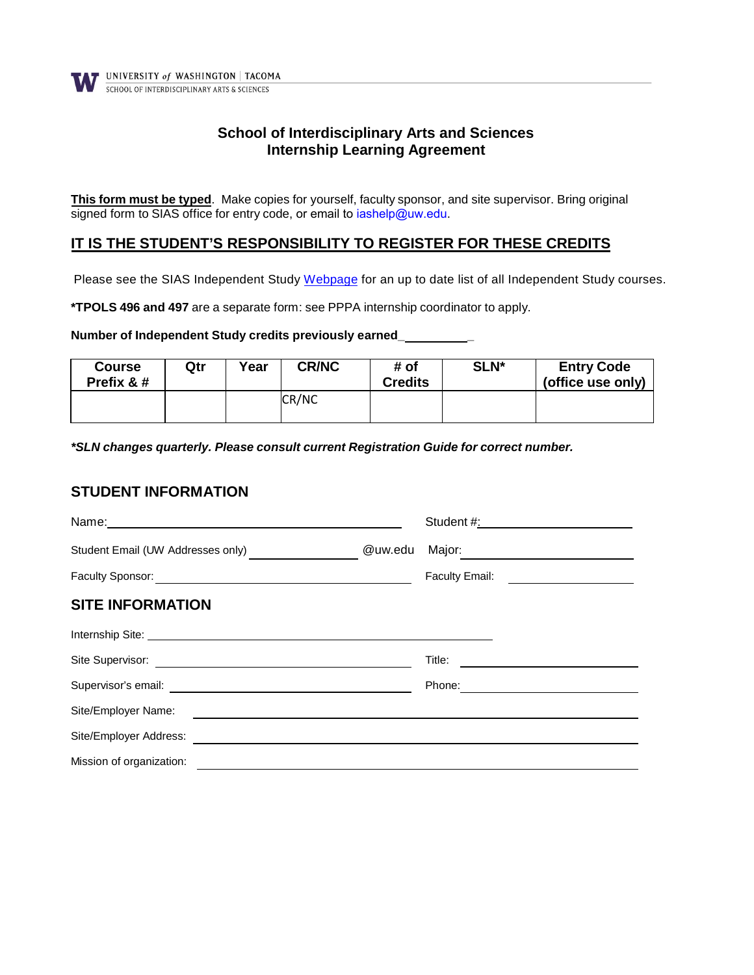

## **School of Interdisciplinary Arts and Sciences Internship Learning Agreement**

**This form must be typed**. Make copies for yourself, faculty sponsor, and site supervisor. Bring original signed form to SIAS office for entry code, or email to iashelp@uw.edu.

### **IT IS THE STUDENT'S RESPONSIBILITY TO REGISTER FOR THESE CREDITS**

Please see the SIAS Independent Study [Webpage](https://www.tacoma.uw.edu/sias/independent-study) for an up to date list of all Independent Study courses.

**\*TPOLS 496 and 497** are a separate form: see PPPA internship coordinator to apply.

#### **Number of Independent Study credits previously earned\_ \_**

| <b>Course</b><br>Prefix & # | Qtr | Year | <b>CR/NC</b> | # of<br>Credits | SLN* | <b>Entry Code</b><br>(office use only) |
|-----------------------------|-----|------|--------------|-----------------|------|----------------------------------------|
|                             |     |      | CR/NC        |                 |      |                                        |

*\*SLN changes quarterly. Please consult current Registration Guide for correct number.*

#### **STUDENT INFORMATION**

| Name: Name: Name: Name: Name: Name: Name: Name: Name: Name: Name: Name: Name: Name: Name: Name: Name: Name: Name: Name: Name: Name: Name: Name: Name: Name: Name: Name: Name: Name: Name: Name: Name: Name: Name: Name: Name:        |         |                                            |
|--------------------------------------------------------------------------------------------------------------------------------------------------------------------------------------------------------------------------------------|---------|--------------------------------------------|
| Student Email (UW Addresses only)                                                                                                                                                                                                    | @uw.edu | Major: __________________________________  |
|                                                                                                                                                                                                                                      |         | Faculty Email: <u>____________________</u> |
| <b>SITE INFORMATION</b>                                                                                                                                                                                                              |         |                                            |
| Internship Site: <u>example and the set of the set of the set of the set of the set of the set of the set of the set of the set of the set of the set of the set of the set of the set of the set of the set of the set of the s</u> |         |                                            |
|                                                                                                                                                                                                                                      |         |                                            |
|                                                                                                                                                                                                                                      |         | Phone: <u>____________________</u>         |
| Site/Employer Name:                                                                                                                                                                                                                  |         |                                            |
|                                                                                                                                                                                                                                      |         |                                            |
| Mission of organization:                                                                                                                                                                                                             |         |                                            |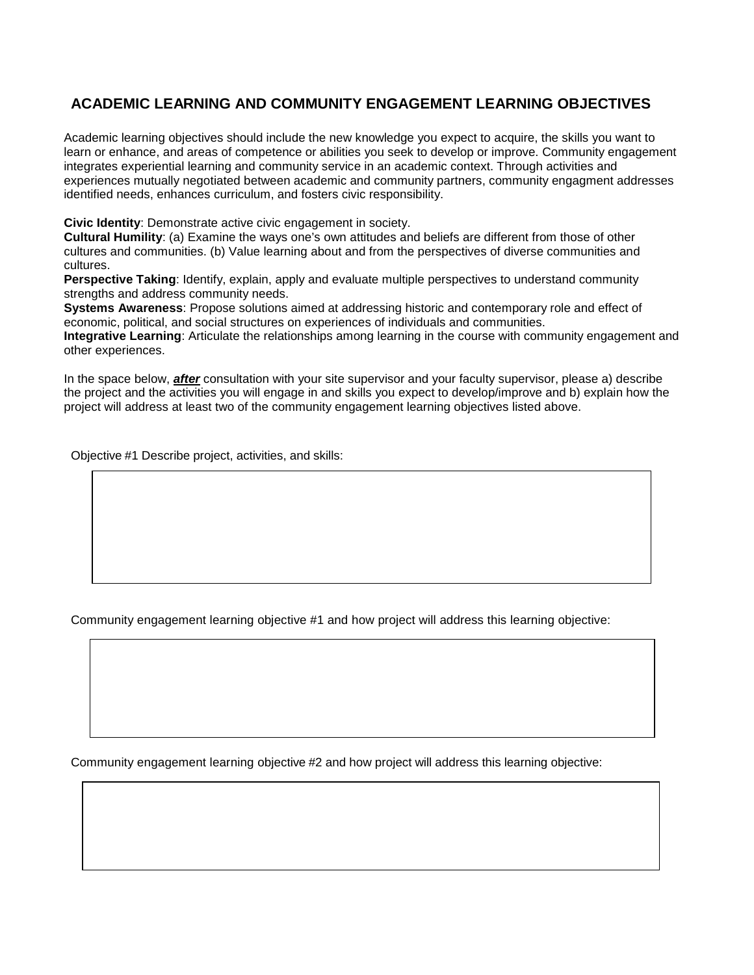# **ACADEMIC LEARNING AND COMMUNITY ENGAGEMENT LEARNING OBJECTIVES**

Academic learning objectives should include the new knowledge you expect to acquire, the skills you want to learn or enhance, and areas of competence or abilities you seek to develop or improve. Community engagement integrates experiential learning and community service in an academic context. Through activities and experiences mutually negotiated between academic and community partners, community engagment addresses identified needs, enhances curriculum, and fosters civic responsibility.

**Civic Identity**: Demonstrate active civic engagement in society.

**Cultural Humility**: (a) Examine the ways one's own attitudes and beliefs are different from those of other cultures and communities. (b) Value learning about and from the perspectives of diverse communities and cultures.

**Perspective Taking:** Identify, explain, apply and evaluate multiple perspectives to understand community strengths and address community needs.

**Systems Awareness**: Propose solutions aimed at addressing historic and contemporary role and effect of economic, political, and social structures on experiences of individuals and communities.

**Integrative Learning**: Articulate the relationships among learning in the course with community engagement and other experiences.

In the space below, *after* consultation with your site supervisor and your faculty supervisor, please a) describe the project and the activities you will engage in and skills you expect to develop/improve and b) explain how the project will address at least two of the community engagement learning objectives listed above.

Objective #1 Describe project, activities, and skills:

Community engagement learning objective #1 and how project will address this learning objective:

Community engagement learning objective #2 and how project will address this learning objective: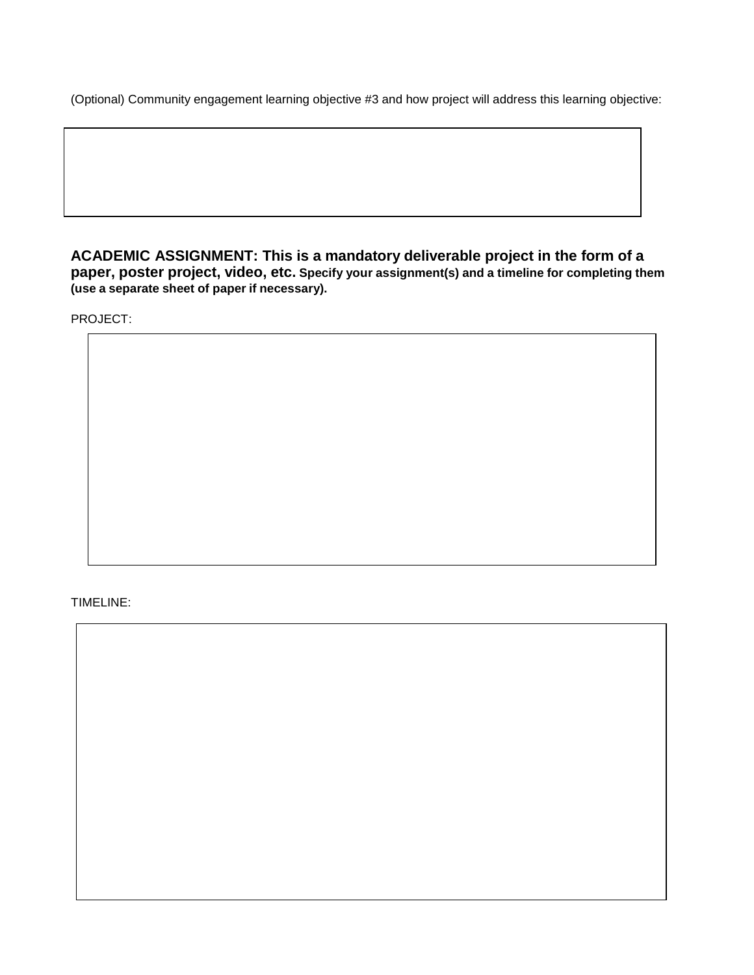(Optional) Community engagement learning objective #3 and how project will address this learning objective:

**ACADEMIC ASSIGNMENT: This is a mandatory deliverable project in the form of a paper, poster project, video, etc. Specify your assignment(s) and a timeline for completing them (use a separate sheet of paper if necessary).**

PROJECT:

#### TIMELINE: